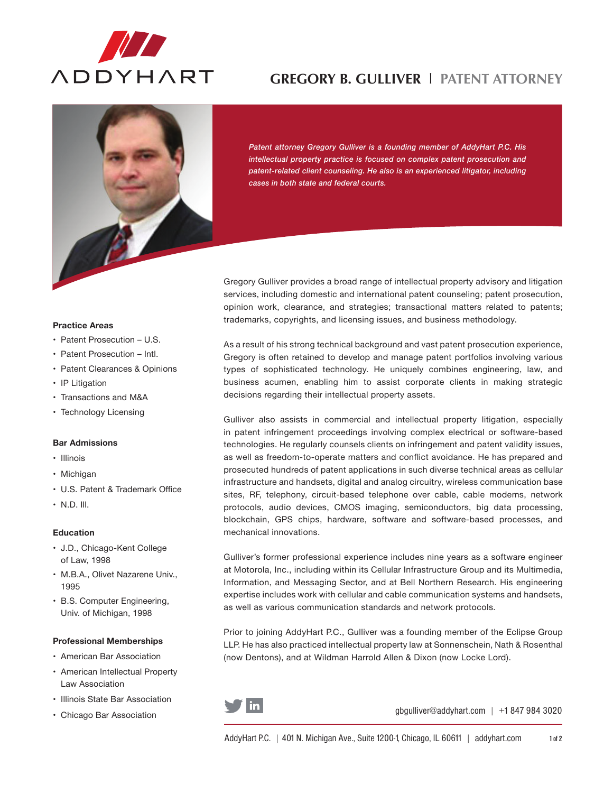

# **Gregory B. Gulliver** l **Patent Attorney**



*Patent attorney Gregory Gulliver is a founding member of AddyHart P.C. His intellectual property practice is focused on complex patent prosecution and patent-related client counseling. He also is an experienced litigator, including cases in both state and federal courts.*

Gregory Gulliver provides a broad range of intellectual property advisory and litigation services, including domestic and international patent counseling; patent prosecution, opinion work, clearance, and strategies; transactional matters related to patents; trademarks, copyrights, and licensing issues, and business methodology.

As a result of his strong technical background and vast patent prosecution experience, Gregory is often retained to develop and manage patent portfolios involving various types of sophisticated technology. He uniquely combines engineering, law, and business acumen, enabling him to assist corporate clients in making strategic decisions regarding their intellectual property assets.

Gulliver also assists in commercial and intellectual property litigation, especially in patent infringement proceedings involving complex electrical or software-based technologies. He regularly counsels clients on infringement and patent validity issues, as well as freedom-to-operate matters and conflict avoidance. He has prepared and prosecuted hundreds of patent applications in such diverse technical areas as cellular infrastructure and handsets, digital and analog circuitry, wireless communication base sites, RF, telephony, circuit-based telephone over cable, cable modems, network protocols, audio devices, CMOS imaging, semiconductors, big data processing, blockchain, GPS chips, hardware, software and software-based processes, and mechanical innovations.

Gulliver's former professional experience includes nine years as a software engineer at Motorola, Inc., including within its Cellular Infrastructure Group and its Multimedia, Information, and Messaging Sector, and at Bell Northern Research. His engineering expertise includes work with cellular and cable communication systems and handsets, as well as various communication standards and network protocols.

Prior to joining AddyHart P.C., Gulliver was a founding member of the Eclipse Group LLP. He has also practiced intellectual property law at Sonnenschein, Nath & Rosenthal (now Dentons), and at Wildman Harrold Allen & Dixon (now Locke Lord).



gbgulliver@addyhart.com | +1 847 984 3020

### **Practice Areas**

- Patent Prosecution U.S.
- Patent Prosecution Intl.
- Patent Clearances & Opinions
- IP Litigation
- Transactions and M&A
- Technology Licensing

## **Bar Admissions**

- • Illinois
- • Michigan
- • U.S. Patent & Trademark Office
- $\cdot$  N.D. III.

## **Education**

- • J.D., Chicago-Kent College of Law, 1998
- • M.B.A., Olivet Nazarene Univ., 1995
- • B.S. Computer Engineering, Univ. of Michigan, 1998

#### **Professional Memberships**

- • American Bar Association
- • American Intellectual Property Law Association
- • Illinois State Bar Association
- • Chicago Bar Association